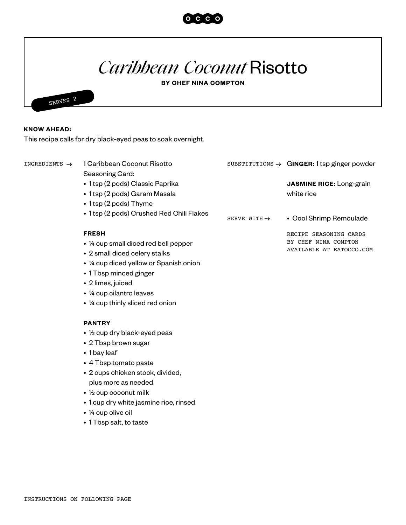

## *Caribbean Coconut* Risotto

**BY CHEF NINA COMPTON**



## **KNOW AHEAD:**

This recipe calls for dry black-eyed peas to soak overnight.

| INGREDIENTS $\rightarrow$ | 1 Caribbean Coconut Risotto                   |                          | SUBSTITUTIONS $\rightarrow$ GINGER: 1 tsp ginger powder |
|---------------------------|-----------------------------------------------|--------------------------|---------------------------------------------------------|
|                           | Seasoning Card:                               |                          |                                                         |
|                           | • 1 tsp (2 pods) Classic Paprika              |                          | <b>JASMINE RICE:</b> Long-grain                         |
|                           | • 1 tsp (2 pods) Garam Masala                 |                          | white rice                                              |
|                           | • 1 tsp (2 pods) Thyme                        |                          |                                                         |
|                           | • 1 tsp (2 pods) Crushed Red Chili Flakes     |                          |                                                         |
|                           |                                               | SERVE WITH $\rightarrow$ | • Cool Shrimp Remoulade                                 |
|                           | <b>FRESH</b>                                  |                          | RECIPE SEASONING CARDS                                  |
|                           | • 1/4 cup small diced red bell pepper         |                          | BY CHEF NINA COMPTON<br>AVAILABLE AT EATOCCO.COM        |
|                           | • 2 small diced celery stalks                 |                          |                                                         |
|                           | • 1/4 cup diced yellow or Spanish onion       |                          |                                                         |
|                           | • 1 Tbsp minced ginger                        |                          |                                                         |
|                           | • 2 limes, juiced                             |                          |                                                         |
|                           | • 1/4 cup cilantro leaves                     |                          |                                                         |
|                           | • 1/4 cup thinly sliced red onion             |                          |                                                         |
|                           | <b>PANTRY</b>                                 |                          |                                                         |
|                           | $\cdot$ $\frac{1}{2}$ cup dry black-eyed peas |                          |                                                         |
|                           | • 2 Tbsp brown sugar                          |                          |                                                         |
|                           | • 1 bay leaf                                  |                          |                                                         |
|                           | • 4 Tbsp tomato paste                         |                          |                                                         |
|                           | • 2 cups chicken stock, divided,              |                          |                                                         |
|                           | plus more as needed                           |                          |                                                         |
|                           | $\cdot$ 1/2 cup coconut milk                  |                          |                                                         |
|                           | • 1 cup dry white jasmine rice, rinsed        |                          |                                                         |
|                           | • ¼ cup olive oil                             |                          |                                                         |

• 1 Tbsp salt, to taste